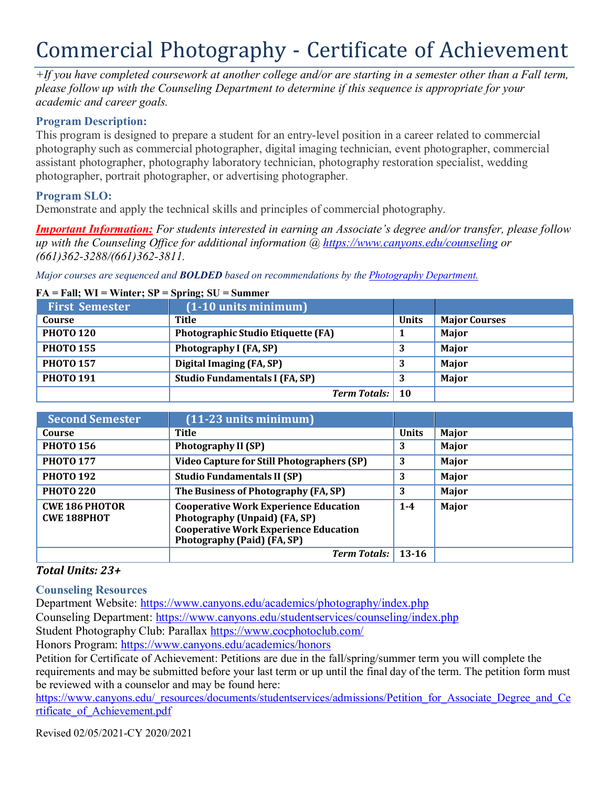# Commercial Photography - Certificate of Achievement

*+If you have completed coursework at another college and/or are starting in a semester other than a Fall term, please follow up with the Counseling Department to determine if this sequence is appropriate for your academic and career goals.*

## **Program Description:**

This program is designed to prepare a student for an entry-level position in a career related to commercial photography such as commercial photographer, digital imaging technician, event photographer, commercial assistant photographer, photography laboratory technician, photography restoration specialist, wedding photographer, portrait photographer, or advertising photographer.

## **Program SLO:**

Demonstrate and apply the technical skills and principles of commercial photography.

*Important Information: For students interested in earning an Associate's degree and/or transfer, please follow up with the Counseling Office for additional information @ https:/[/www.canyons.edu/counseling](http://www.canyons.edu/counseling) or (661)362-3288/(661)362-3811.*

*Major courses are sequenced and BOLDED based on recommendations by the Photography Department.*

#### **FA = Fall; WI = Winter; SP = Spring; SU = Summer**

| <b>First Semester</b> | $(1-10$ units minimum)                    |              |                      |
|-----------------------|-------------------------------------------|--------------|----------------------|
| Course                | Title                                     | <b>Units</b> | <b>Major Courses</b> |
| <b>PHOTO 120</b>      | <b>Photographic Studio Etiquette (FA)</b> |              | Major                |
| <b>PHOTO 155</b>      | Photography I (FA, SP)                    | . J          | Major                |
| <b>PHOTO 157</b>      | Digital Imaging (FA, SP)                  | . J          | Major                |
| <b>PHOTO 191</b>      | <b>Studio Fundamentals I (FA, SP)</b>     |              | Major                |
|                       | <b>Term Totals:</b> 10                    |              |                      |

| <b>Second Semester</b>                      | $(11-23$ units minimum)                                                                                                                                      |              |              |
|---------------------------------------------|--------------------------------------------------------------------------------------------------------------------------------------------------------------|--------------|--------------|
| Course                                      | Title                                                                                                                                                        | <b>Units</b> | Major        |
| <b>PHOTO 156</b>                            | <b>Photography II (SP)</b>                                                                                                                                   | 3            | <b>Major</b> |
| <b>PHOTO 177</b>                            | <b>Video Capture for Still Photographers (SP)</b>                                                                                                            | 3            | Major        |
| <b>PHOTO 192</b>                            | <b>Studio Fundamentals II (SP)</b>                                                                                                                           | 3            | Major        |
| <b>PHOTO 220</b>                            | The Business of Photography (FA, SP)                                                                                                                         | 3            | Major        |
| <b>CWE 186 PHOTOR</b><br><b>CWE 188PHOT</b> | <b>Cooperative Work Experience Education</b><br>Photography (Unpaid) (FA, SP)<br><b>Cooperative Work Experience Education</b><br>Photography (Paid) (FA, SP) | $1 - 4$      | Major        |
|                                             | <b>Term Totals:</b>                                                                                                                                          | $13-16$      |              |

## *Total Units: 23+*

**Counseling Resources**

Department Website: https:/[/www.canyons.edu/academics/photography/index.php](http://www.canyons.edu/academics/photography/index.php) Counseling Department: https:/[/www.canyons.edu/studentservices/counseling/index.php](http://www.canyons.edu/studentservices/counseling/index.php) Student Photography Club: Parallax https:[//www.cocphotoclub.com/](http://www.cocphotoclub.com/)

Honors Program: https:/[/www.canyons.edu/academics/honors](http://www.canyons.edu/academics/honors)

Petition for Certificate of Achievement: Petitions are due in the fall/spring/summer term you will complete the requirements and may be submitted before your last term or up until the final day of the term. The petition form must be reviewed with a counselor and may be found here:

https:/[/www.canyons.edu/\\_resources/documents/studentservices/admissions/Petition\\_for\\_Associate\\_Degree\\_and\\_Ce](http://www.canyons.edu/_resources/documents/studentservices/admissions/Petition_for_Associate_Degree_and_Ce) rtificate\_of\_Achievement.pdf

Revised 02/05/2021-CY 2020/2021